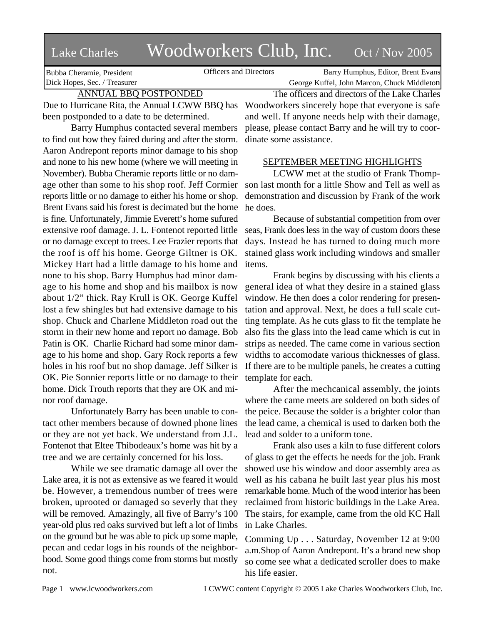## Lake Charles Woodworkers Club, Inc. Oct / Nov 2005

Bubba Cheramie, President Dick Hopes, Sec. / Treasurer

Officers and Directors Barry Humphus, Editor, Brent Evans George Kuffel, John Marcon, Chuck Middleton

ANNUAL BBQ POSTPONDED

Due to Hurricane Rita, the Annual LCWW BBQ has been postponded to a date to be determined.

Barry Humphus contacted several members to find out how they faired during and after the storm. Aaron Andrepont reports minor damage to his shop and none to his new home (where we will meeting in November). Bubba Cheramie reports little or no damage other than some to his shop roof. Jeff Cormier reports little or no damage to either his home or shop. Brent Evans said his forest is decimated but the home is fine. Unfortunately, Jimmie Everett's home sufured extensive roof damage. J. L. Fontenot reported little or no damage except to trees. Lee Frazier reports that the roof is off his home. George Giltner is OK. Mickey Hart had a little damage to his home and none to his shop. Barry Humphus had minor damage to his home and shop and his mailbox is now about 1/2" thick. Ray Krull is OK. George Kuffel lost a few shingles but had extensive damage to his shop. Chuck and Charlene Middleton road out the storm in their new home and report no damage. Bob Patin is OK. Charlie Richard had some minor damage to his home and shop. Gary Rock reports a few holes in his roof but no shop damage. Jeff Silker is OK. Pie Sonnier reports little or no damage to their home. Dick Trouth reports that they are OK and minor roof damage.

Unfortunately Barry has been unable to contact other members because of downed phone lines or they are not yet back. We understand from J.L. Fontenot that Eltee Thibodeaux's home was hit by a tree and we are certainly concerned for his loss.

While we see dramatic damage all over the Lake area, it is not as extensive as we feared it would be. However, a tremendous number of trees were broken, uprooted or damaged so severly that they will be removed. Amazingly, all five of Barry's 100 year-old plus red oaks survived but left a lot of limbs on the ground but he was able to pick up some maple, pecan and cedar logs in his rounds of the neighborhood. Some good things come from storms but mostly not.

The officers and directors of the Lake Charles Woodworkers sincerely hope that everyone is safe and well. If anyone needs help with their damage, please, please contact Barry and he will try to coordinate some assistance.

## SEPTEMBER MEETING HIGHLIGHTS

LCWW met at the studio of Frank Thompson last month for a little Show and Tell as well as demonstration and discussion by Frank of the work he does.

Because of substantial competition from over seas, Frank does less in the way of custom doors these days. Instead he has turned to doing much more stained glass work including windows and smaller items.

Frank begins by discussing with his clients a general idea of what they desire in a stained glass window. He then does a color rendering for presentation and approval. Next, he does a full scale cutting template. As he cuts glass to fit the template he also fits the glass into the lead came which is cut in strips as needed. The came come in various section widths to accomodate various thicknesses of glass. If there are to be multiple panels, he creates a cutting template for each.

After the mechcanical assembly, the joints where the came meets are soldered on both sides of the peice. Because the solder is a brighter color than the lead came, a chemical is used to darken both the lead and solder to a uniform tone.

Frank also uses a kiln to fuse different colors of glass to get the effects he needs for the job. Frank showed use his window and door assembly area as well as his cabana he built last year plus his most remarkable home. Much of the wood interior has been reclaimed from historic buildings in the Lake Area. The stairs, for example, came from the old KC Hall in Lake Charles.

Comming Up . . . Saturday, November 12 at 9:00 a.m.Shop of Aaron Andrepont. It's a brand new shop so come see what a dedicated scroller does to make his life easier.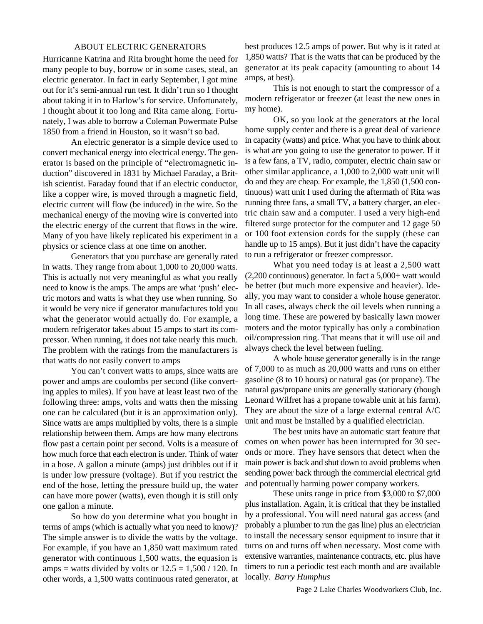## ABOUT ELECTRIC GENERATORS

Hurricanne Katrina and Rita brought home the need for many people to buy, borrow or in some cases, steal, an electric generator. In fact in early September, I got mine out for it's semi-annual run test. It didn't run so I thought about taking it in to Harlow's for service. Unfortunately, I thought about it too long and Rita came along. Fortunately, I was able to borrow a Coleman Powermate Pulse 1850 from a friend in Houston, so it wasn't so bad.

An electric generator is a simple device used to convert mechanical energy into electrical energy. The generator is based on the principle of "electromagnetic induction" discovered in 1831 by Michael Faraday, a British scientist. Faraday found that if an electric conductor, like a copper wire, is moved through a magnetic field, electric current will flow (be induced) in the wire. So the mechanical energy of the moving wire is converted into the electric energy of the current that flows in the wire. Many of you have likely replicated his experiment in a physics or science class at one time on another.

Generators that you purchase are generally rated in watts. They range from about 1,000 to 20,000 watts. This is actually not very meaningful as what you really need to know is the amps. The amps are what 'push' electric motors and watts is what they use when running. So it would be very nice if generator manufactures told you what the generator would actually do. For example, a modern refrigerator takes about 15 amps to start its compressor. When running, it does not take nearly this much. The problem with the ratings from the manufacturers is that watts do not easily convert to amps

You can't convert watts to amps, since watts are power and amps are coulombs per second (like converting apples to miles). If you have at least least two of the following three: amps, volts and watts then the missing one can be calculated (but it is an approximation only). Since watts are amps multiplied by volts, there is a simple relationship between them. Amps are how many electrons flow past a certain point per second. Volts is a measure of how much force that each electron is under. Think of water in a hose. A gallon a minute (amps) just dribbles out if it is under low pressure (voltage). But if you restrict the end of the hose, letting the pressure build up, the water can have more power (watts), even though it is still only one gallon a minute.

So how do you determine what you bought in terms of amps (which is actually what you need to know)? The simple answer is to divide the watts by the voltage. For example, if you have an 1,850 watt maximum rated generator with continuous 1,500 watts, the equasion is amps = watts divided by volts or  $12.5 = 1,500 / 120$ . In other words, a 1,500 watts continuous rated generator, at best produces 12.5 amps of power. But why is it rated at 1,850 watts? That is the watts that can be produced by the generator at its peak capacity (amounting to about 14 amps, at best).

This is not enough to start the compressor of a modern refrigerator or freezer (at least the new ones in my home).

OK, so you look at the generators at the local home supply center and there is a great deal of varience in capacity (watts) and price. What you have to think about is what are you going to use the generator to power. If it is a few fans, a TV, radio, computer, electric chain saw or other similar applicance, a 1,000 to 2,000 watt unit will do and they are cheap. For example, the 1,850 (1,500 continuous) watt unit I used during the aftermath of Rita was running three fans, a small TV, a battery charger, an electric chain saw and a computer. I used a very high-end filtered surge protector for the computer and 12 gage 50 or 100 foot extension cords for the supply (these can handle up to 15 amps). But it just didn't have the capacity to run a refrigerator or freezer compressor.

What you need today is at least a 2,500 watt (2,200 continuous) generator. In fact a 5,000+ watt would be better (but much more expensive and heavier). Ideally, you may want to consider a whole house generator. In all cases, always check the oil levels when running a long time. These are powered by basically lawn mower moters and the motor typically has only a combination oil/compression ring. That means that it will use oil and always check the level between fueling.

A whole house generator generally is in the range of 7,000 to as much as 20,000 watts and runs on either gasoline (8 to 10 hours) or natural gas (or propane). The natural gas/propane units are generally stationary (though Leonard Wilfret has a propane towable unit at his farm). They are about the size of a large external central A/C unit and must be installed by a qualified electrician.

The best units have an automatic start feature that comes on when power has been interrupted for 30 seconds or more. They have sensors that detect when the main power is back and shut down to avoid problems when sending power back through the commercial electrical grid and potentually harming power company workers.

These units range in price from \$3,000 to \$7,000 plus installation. Again, it is critical that they be installed by a professional. You will need natural gas access (and probably a plumber to run the gas line) plus an electrician to install the necessary sensor equipment to insure that it turns on and turns off when necessary. Most come with extensive warranties, maintenance contracts, etc. plus have timers to run a periodic test each month and are available locally. *Barry Humphus*